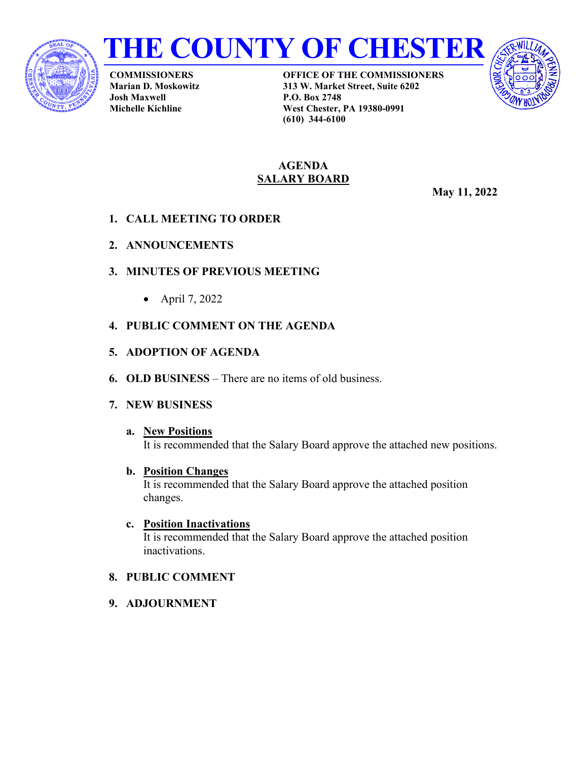



**COMMISSIONERS Marian D. Moskowitz Josh Maxwell Michelle Kichline**

**OFFICE OF THE COMMISSIONERS 313 W. Market Street, Suite 6202 P.O. Box 2748 West Chester, PA 19380-0991 (610) 344-6100**



#### **AGENDA SALARY BOARD**

**May 11, 2022**

- **1. CALL MEETING TO ORDER**
- **2. ANNOUNCEMENTS**
- **3. MINUTES OF PREVIOUS MEETING**
	- April 7, 2022
- **4. PUBLIC COMMENT ON THE AGENDA**
- **5. ADOPTION OF AGENDA**
- **6. OLD BUSINESS** There are no items of old business.
- **7. NEW BUSINESS**

# **a. New Positions** It is recommended that the Salary Board approve the attached new positions.

- **b. Position Changes** It is recommended that the Salary Board approve the attached position changes.
- **c. Position Inactivations** It is recommended that the Salary Board approve the attached position inactivations.
- **8. PUBLIC COMMENT**
- **9. ADJOURNMENT**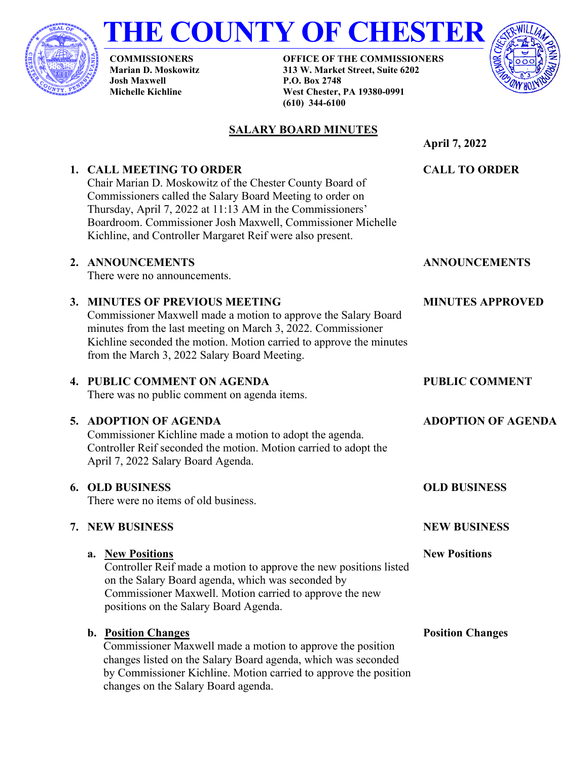

# **THE COUNTY OF CHESTER**

**COMMISSIONERS Marian D. Moskowitz Josh Maxwell Michelle Kichline**

**1. CALL MEETING TO ORDER**

**OFFICE OF THE COMMISSIONERS 313 W. Market Street, Suite 6202 P.O. Box 2748 West Chester, PA 19380-0991 (610) 344-6100**



# **SALARY BOARD MINUTES**

Chair Marian D. Moskowitz of the Chester County Board of Commissioners called the Salary Board Meeting to order on Thursday, April 7, 2022 at 11:13 AM in the Commissioners' Boardroom. Commissioner Josh Maxwell, Commissioner Michelle Kichline, and Controller Margaret Reif were also present. **CALL TO ORDER ANNOUNCEMENTS MINUTES APPROVED**

## **2. ANNOUNCEMENTS**

There were no announcements.

## **3. MINUTES OF PREVIOUS MEETING**

Commissioner Maxwell made a motion to approve the Salary Board minutes from the last meeting on March 3, 2022. Commissioner Kichline seconded the motion. Motion carried to approve the minutes from the March 3, 2022 Salary Board Meeting.

## **4. PUBLIC COMMENT ON AGENDA**

There was no public comment on agenda items.

# **5. ADOPTION OF AGENDA**

Commissioner Kichline made a motion to adopt the agenda. Controller Reif seconded the motion. Motion carried to adopt the April 7, 2022 Salary Board Agenda.

# **6. OLD BUSINESS**

There were no items of old business.

# **7. NEW BUSINESS**

# **a. New Positions**

Controller Reif made a motion to approve the new positions listed on the Salary Board agenda, which was seconded by Commissioner Maxwell. Motion carried to approve the new positions on the Salary Board Agenda.

# **b. Position Changes**

Commissioner Maxwell made a motion to approve the position changes listed on the Salary Board agenda, which was seconded by Commissioner Kichline. Motion carried to approve the position changes on the Salary Board agenda.

**PUBLIC COMMENT**

**ADOPTION OF AGENDA**

**OLD BUSINESS**

**NEW BUSINESS**

**New Positions**

**Position Changes**

**April 7, 2022**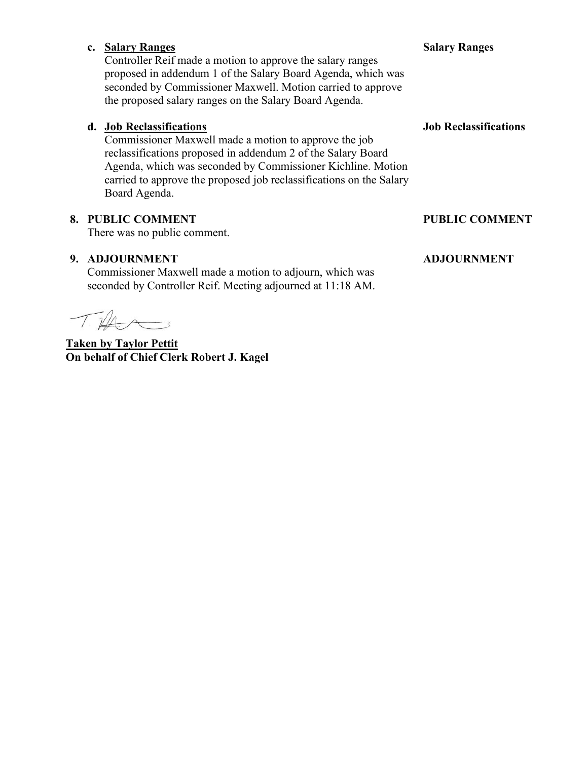#### **c. Salary Ranges** Controller Reif made a motion to approve the salary ranges proposed in addendum 1 of the Salary Board Agenda, which was seconded by Commissioner Maxwell. Motion carried to approve the proposed salary ranges on the Salary Board Agenda.

## **d. Job Reclassifications**

Commissioner Maxwell made a motion to approve the job reclassifications proposed in addendum 2 of the Salary Board Agenda, which was seconded by Commissioner Kichline. Motion carried to approve the proposed job reclassifications on the Salary Board Agenda.

## **8. PUBLIC COMMENT**

There was no public comment.

#### **9. ADJOURNMENT**

Commissioner Maxwell made a motion to adjourn, which was seconded by Controller Reif. Meeting adjourned at 11:18 AM.

 $\sqrt{11}$ 

**Taken by Taylor Pettit On behalf of Chief Clerk Robert J. Kagel**

#### **Salary Ranges**

**Job Reclassifications**

#### **PUBLIC COMMENT**

#### **ADJOURNMENT**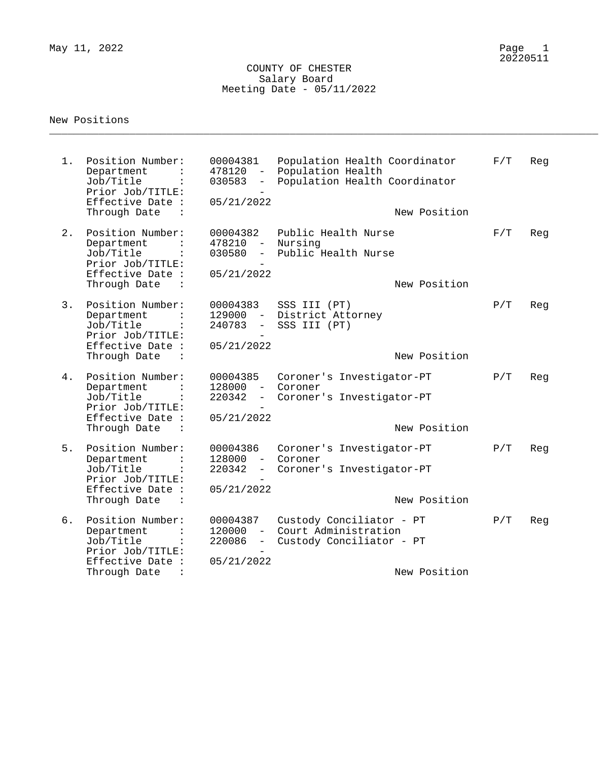#### COUNTY OF CHESTER Salary Board Meeting Date - 05/11/2022

\_\_\_\_\_\_\_\_\_\_\_\_\_\_\_\_\_\_\_\_\_\_\_\_\_\_\_\_\_\_\_\_\_\_\_\_\_\_\_\_\_\_\_\_\_\_\_\_\_\_\_\_\_\_\_\_\_\_\_\_\_\_\_\_\_\_\_\_\_\_\_\_\_\_\_\_\_\_\_\_\_\_\_\_\_\_\_\_\_

#### New Positions

1. Position Number: 00004381 Population Health Coordinator F/T Reg Department : 478120 - Population Health Job/Title : 030583 - Population Health Coordinator Prior Job/TITLE:<br>Effective Date : 05/21/2022  $Effective$  Date : Through Date : the state of the state of the New Position 2. Position Number: 00004382 Public Health Nurse F/T Reg Department : 478210 - Nursing Job/Title : 030580 - Public Health Nurse Prior Job/TITLE:<br>Effective Date : 05/21/2022 Effective Date : Through Date : New Position and Solid State in the Mew Position and Mew Position 3. Position Number: 00004383 SSS III (PT)  $P/T$  Reg Department : 129000 - District Attorney Job/Title : 240783 - SSS III (PT) Prior Job/TITLE: - Effective Date : 05/21/2022 Through Date : the state of the state of the New Position 4. Position Number: 00004385 Coroner's Investigator-PT P/T Reg Department : 128000 - Coroner Job/Title : 220342 - Coroner's Investigator-PT Prior Job/TITLE: Effective Date : 05/21/2022 Through Date :  $\qquad \qquad$  New Position 5. Position Number: 00004386 Coroner's Investigator-PT P/T Reg Department : 128000 - Coroner Job/Title : 220342 - Coroner's Investigator-PT Prior Job/TITLE: Effective Date : 05/21/2022 Through Date : Through Date : New Position 6. Position Number: 00004387 Custody Conciliator - PT P/T Reg Department : 120000 - Court Administration Job/Title : 220086 - Custody Conciliator - PT Prior Job/TITLE: Effective Date : 05/21/2022 Through Date : New Position and Solid School and School and School and New Position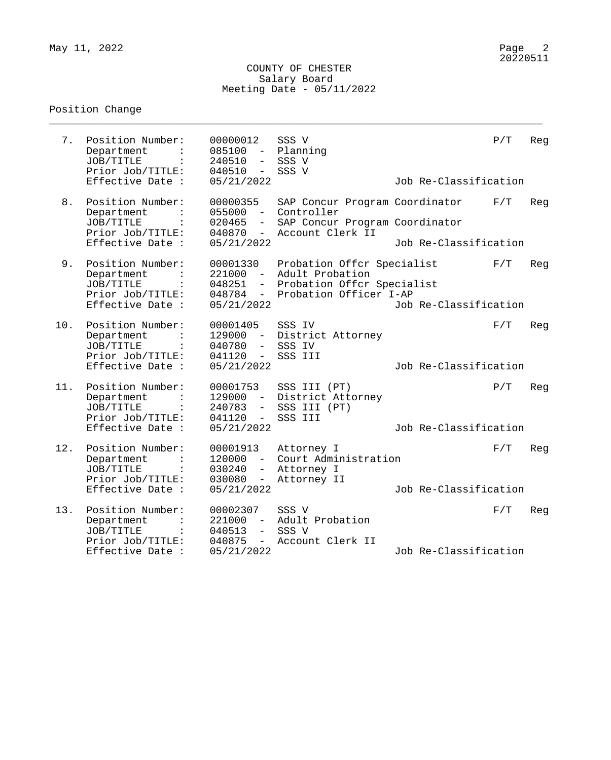#### COUNTY OF CHESTER Salary Board Meeting Date - 05/11/2022

\_\_\_\_\_\_\_\_\_\_\_\_\_\_\_\_\_\_\_\_\_\_\_\_\_\_\_\_\_\_\_\_\_\_\_\_\_\_\_\_\_\_\_\_\_\_\_\_\_\_\_\_\_\_\_\_\_\_\_\_\_\_\_\_\_\_\_\_\_\_\_\_\_\_\_\_\_\_\_\_

# Position Change

| 7.  | Position Number:<br>Department<br>JOB/TITLE<br>Prior Job/TITLE:<br>Effective Date :                   | 00000012<br>085100<br>$\overline{\phantom{m}}$<br>240510<br>$-$<br>040510<br>$-$<br>05/21/2022          | SSS V<br>Planning<br>SSS V<br>SSS V                                                                   | Job Re-Classification | P/T | Reg |
|-----|-------------------------------------------------------------------------------------------------------|---------------------------------------------------------------------------------------------------------|-------------------------------------------------------------------------------------------------------|-----------------------|-----|-----|
| 8.  | Position Number:<br>Department<br>JOB/TITLE<br>Prior Job/TITLE:<br>Effective Date :                   | 00000355<br>055000<br>$-$<br>020465<br>$-$<br>040870<br>$ \,$<br>05/21/2022                             | SAP Concur Program Coordinator<br>Controller<br>SAP Concur Program Coordinator<br>Account Clerk II    | Job Re-Classification | F/T | Reg |
| 9.  | Position Number:<br>Department<br>JOB/TITLE<br>$\ddot{\cdot}$<br>Prior Job/TITLE:<br>Effective Date : | 00001330<br>221000<br>$ \,$<br>048251<br>048784<br>$ \,$<br>05/21/2022                                  | Probation Offer Specialist<br>Adult Probation<br>Probation Offer Specialist<br>Probation Officer I-AP | Job Re-Classification | F/T | Reg |
| 10. | Position Number:<br>Department<br>JOB/TITLE<br>Prior Job/TITLE:<br>Effective Date :                   | 00001405<br>129000<br>$ \,$<br>040780<br>$\overline{\phantom{0}}$<br>041120<br>$ \,$<br>05/21/2022      | SSS IV<br>District Attorney<br>SSS IV<br>SSS III                                                      | Job Re-Classification | F/T | Reg |
| 11. | Position Number:<br>Department<br>JOB/TITLE<br>Prior Job/TITLE:<br>Effective Date :                   | 00001753<br>129000<br>$\sim$ $-$<br>240783<br>$\overline{\phantom{a}}$<br>041120<br>$-$<br>05/21/2022   | SSS III (PT)<br>District Attorney<br>SSS III (PT)<br>SSS III                                          | Job Re-Classification | P/T | Reg |
| 12. | Position Number:<br>Department<br>JOB/TITLE<br>Prior Job/TITLE:<br>Effective Date :                   | 00001913<br>120000<br>$ \,$<br>030240<br>$\overline{\phantom{0}}$<br>030080<br>$\equiv$ .<br>05/21/2022 | Attorney I<br>Court Administration<br>Attorney I<br>Attorney II                                       | Job Re-Classification | F/T | Reg |
| 13. | Position Number:<br>Department<br>JOB/TITLE<br>$\ddot{\cdot}$<br>Prior Job/TITLE:<br>Effective Date : | 00002307<br>221000<br>$ \,$<br>040513<br>$-$<br>040875<br>$ \,$<br>05/21/2022                           | SSS V<br>Adult Probation<br>SSS V<br>Account Clerk II                                                 | Job Re-Classification | F/T | Reg |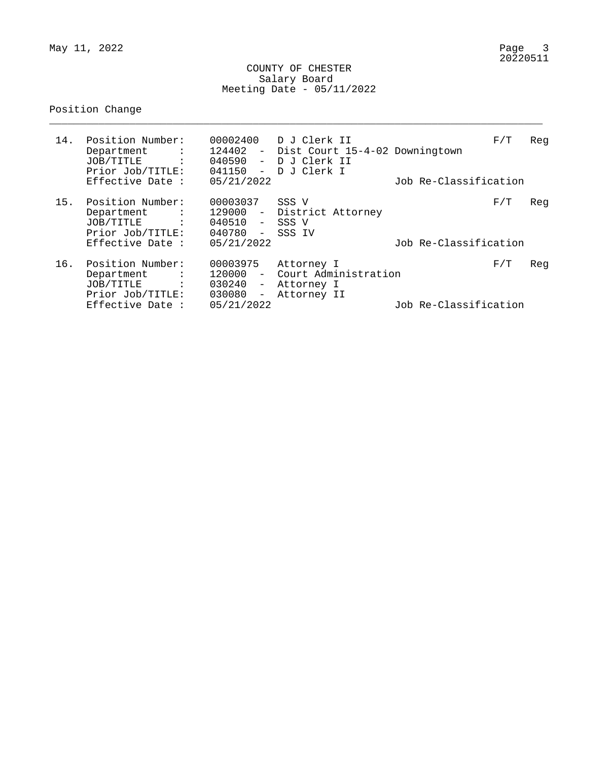$May 11, 2022$ 

#### COUNTY OF CHESTER Salary Board Meeting Date - 05/11/2022

\_\_\_\_\_\_\_\_\_\_\_\_\_\_\_\_\_\_\_\_\_\_\_\_\_\_\_\_\_\_\_\_\_\_\_\_\_\_\_\_\_\_\_\_\_\_\_\_\_\_\_\_\_\_\_\_\_\_\_\_\_\_\_\_\_\_\_\_\_\_\_\_\_\_\_\_\_\_\_\_

# Position Change

| 14. | Position Number:<br>Department<br><b><i>Contract Contract</i></b><br>JOB/TITLE :<br>Prior Job/TITLE:<br>Effective Date : | 041150<br>$\sim$<br>05/21/2022                                                                 | 00002400 D J Clerk II<br>124402 - Dist Court 15-4-02 Downingtown<br>040590 - D J Clerk II<br>D J Clerk I | Job Re-Classification | F/T | Reg |
|-----|--------------------------------------------------------------------------------------------------------------------------|------------------------------------------------------------------------------------------------|----------------------------------------------------------------------------------------------------------|-----------------------|-----|-----|
| 15. | Position Number:<br>Department :<br>JOB/TITLE :<br>Prior Job/TITLE:<br>Effective Date :                                  | 00003037<br>040510 - SSS V<br>040780 -<br>05/21/2022                                           | SSS V<br>129000 - District Attorney<br>SSS IV                                                            | Job Re-Classification | F/T | Reg |
| 16. | Position Number:<br>Department<br><b><i>Contract</i></b><br>JOB/TITLE :<br>Prior Job/TITLE:<br>Effective Date :          | 00003975<br>120000<br>$\sim$<br>$030240 -$<br>030080<br>$\overline{\phantom{m}}$<br>05/21/2022 | Attorney I<br>Court Administration<br>Attorney I<br>Attorney II                                          | Job Re-Classification | F/T | Reg |